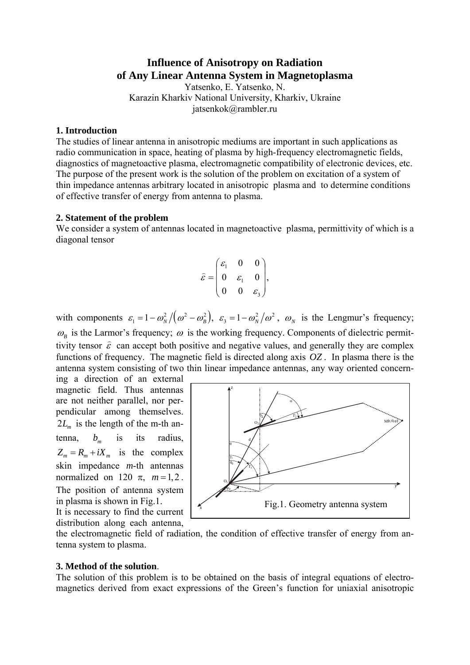# **Influence of Anisotropy on Radiation of Any Linear Antenna System in Magnetoplasma**

Yatsenko, E. Yatsenko, N. Karazin Kharkiv National University, Kharkiv, Ukraine jatsenkok@rambler.ru

#### **1. Introduction**

The studies of linear antenna in anisotropic mediums are important in such applications as radio communication in space, heating of plasma by high-frequency electromagnetic fields, diagnostics of magnetoactive plasma, electromagnetic compatibility of electronic devices, etc. The purpose of the present work is the solution of the problem on excitation of a system of thin impedance antennas arbitrary located in anisotropic plasma and to determine conditions of effective transfer of energy from antenna to plasma.

#### **2. Statement of the problem**

We consider a system of antennas located in magnetoactive plasma, permittivity of which is a diagonal tensor

$$
\widehat{\varepsilon} = \begin{pmatrix} \varepsilon_1 & 0 & 0 \\ 0 & \varepsilon_1 & 0 \\ 0 & 0 & \varepsilon_3 \end{pmatrix},
$$

with components  $\varepsilon_1 = 1 - \omega_N^2/(\omega^2 - \omega_B^2)$ ,  $\varepsilon_3 = 1 - \omega_N^2/\omega^2$ ,  $\omega_N$  is the Lengmur's frequency;  $\omega_B$  is the Larmor's frequency;  $\omega$  is the working frequency. Components of dielectric permit- $\omega_{\beta}$  is the Eurinor's requency,  $\omega_{\beta}$  is the working requency. Components or discretive permittivity tensor  $\hat{\varepsilon}$  can accept both positive and negative values, and generally they are complex functions of frequency. The magnetic field is directed along axis  $OZ$ . In plasma there is the antenna system consisting of two thin linear impedance antennas, any way oriented concern-

ing a direction of an external magnetic field. Thus antennas are not neither parallel, nor perpendicular among themselves.  $2L_m$  is the length of the m-th antenna,  $b_m$  is its radius,  $Z_m = R_m + iX_m$  is the complex skin impedance *m*-th antennas normalized on 120  $\pi$ ,  $m=1,2$ . The position of antenna system in plasma is shown in Fig.1.

It is necessary to find the current distribution along each antenna,



the electromagnetic field of radiation, the condition of effective transfer of energy from antenna system to plasma.

#### **3. Method of the solution**.

The solution of this problem is to be obtained on the basis of integral equations of electromagnetics derived from exact expressions of the Green's function for uniaxial anisotropic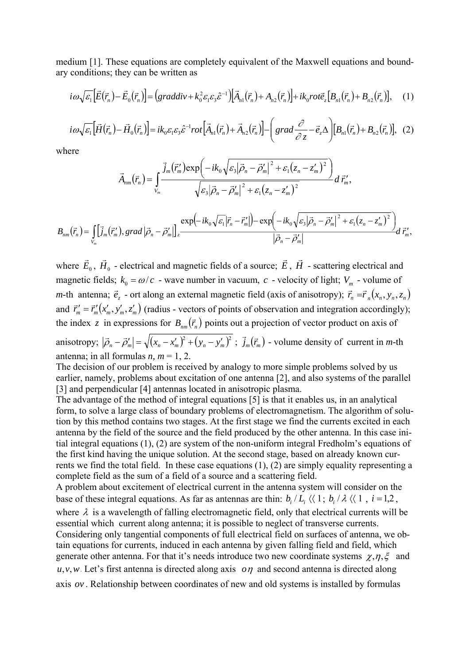medium [1]. These equations are completely equivalent of the Maxwell equations and boundary conditions; they can be written as

$$
i\omega\sqrt{\varepsilon_1}\Big[\vec{E}(\vec{r}_n)-\vec{E}_0(\vec{r}_n)\Big]=\Big(graddiv+k_0^2\varepsilon_1\varepsilon_3\hat{\varepsilon}^{-1}\Big)\Big[\vec{A}_{n1}(\vec{r}_n)+A_{n2}(\vec{r}_n)\Big]+ik_0rot\vec{e}_z\Big[B_{n1}(\vec{r}_n)+B_{n2}(\vec{r}_n)\Big],\quad(1)
$$

$$
i\omega\sqrt{\varepsilon_1}\Big[\vec{H}(\vec{r}_n)-\vec{H}_0(\vec{r}_n)\Big]=ik_0\varepsilon_1\varepsilon_3\hat{\varepsilon}^{-1}rot\Big[\vec{A}_{n1}(\vec{r}_n)+\vec{A}_{n2}(\vec{r}_n)\Big]-\Big(grad\frac{\partial}{\partial z}-\vec{e}_z\Delta\Big)[B_{n1}(\vec{r}_n)+B_{n2}(\vec{r}_n)], (2)
$$

where

$$
\vec{A}_{nm}(\vec{r}_n) = \int_{V_m} \frac{\vec{j}_m(\vec{r}_m') \exp\left(-ik_0\sqrt{\varepsilon_3|\vec{\rho}_n - \vec{\rho}_m'|^2 + \varepsilon_1(z_n - z_m')^2}\right)}{\sqrt{\varepsilon_3|\vec{\rho}_n - \vec{\rho}_m'|^2 + \varepsilon_1(z_n - z_m')^2}} d\,\vec{r}_m',
$$

$$
B_{nm}(\vec{r}_n) = \iint_{V_m} [\vec{j}_m(\vec{r}_m'), grad |\vec{\rho}_n - \vec{\rho}_m'] \Big|_{z} \frac{\exp(-ik_0\sqrt{\varepsilon_1}|\vec{r}_n - \vec{r}_m'|) - \exp(-ik_0\sqrt{\varepsilon_3}|\vec{\rho}_n - \vec{\rho}_m'|^2 + \varepsilon_1(z_n - z_m')^2)}{|\vec{\rho}_n - \vec{\rho}_m'|} d\vec{r}_m',
$$

where  $\vec{E}_0$ ,  $\vec{H}_0$  - electrical and magnetic fields of a source;  $\vec{E}_0$ , *H*  $\rightarrow$  - scattering electrical and magnetic fields;  $k_0 = \omega/c$  - wave number in vacuum, *c* - velocity of light;  $V_m$  - volume of *m*-th antenna;  $\vec{e}_z$  - ort along an external magnetic field (axis of anisotropy);  $\vec{r}_n = \vec{r}_n(x_n, y_n, z_n)$ and  $\vec{r}'_m = \vec{r}'_m(x'_m, y'_m, z'_m)$  (radius - vectors of points of observation and integration accordingly); the index z in expressions for  $B_{nm}(\vec{r}_n)$  points out a projection of vector product on axis of anisotropy;  $|\vec{\rho}_n - \vec{\rho}'_m| = \sqrt{(x_n - x'_m)^2 + (y_n - y'_m)^2}$ ;  $\vec{j}_m(\vec{r}_m)$  - volume density of current in *m*-th antenna; in all formulas  $n, m = 1, 2$ .

The decision of our problem is received by analogy to more simple problems solved by us earlier, namely, problems about excitation of one antenna [2], and also systems of the parallel [3] and perpendicular [4] antennas located in anisotropic plasma.

The advantage of the method of integral equations [5] is that it enables us, in an analytical form, to solve a large class of boundary problems of electromagnetism. The algorithm of solution by this method contains two stages. At the first stage we find the currents excited in each antenna by the field of the source and the field produced by the other antenna. In this case initial integral equations (1), (2) are system of the non-uniform integral Fredholm's equations of the first kind having the unique solution. At the second stage, based on already known currents we find the total field. In these case equations (1), (2) are simply equality representing a complete field as the sum of a field of a source and a scattering field.

A problem about excitement of electrical current in the antenna system will consider on the base of these integral equations. As far as antennas are thin:  $b_i / L_i \langle \langle 1; b_i / \lambda \langle \langle 1, i = 1, 2, \rangle \rangle$ where  $\lambda$  is a wavelength of falling electromagnetic field, only that electrical currents will be essential which current along antenna; it is possible to neglect of transverse currents. Considering only tangential components of full electrical field on surfaces of antenna, we obtain equations for currents, induced in each antenna by given falling field and field, which generate other antenna. For that it's needs introduce two new coordinate systems  $\chi, \eta, \xi$  and  $u, v, w$ . Let's first antenna is directed along axis  $\sigma\eta$  and second antenna is directed along axis *ov* . Relationship between coordinates of new and old systems is installed by formulas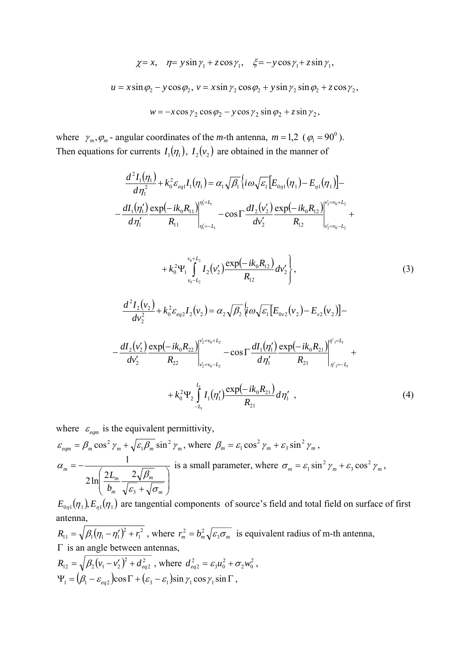$$
\chi = x, \quad \eta = y \sin \gamma_1 + z \cos \gamma_1, \quad \xi = -y \cos \gamma_1 + z \sin \gamma_1,
$$
  

$$
u = x \sin \varphi_2 - y \cos \varphi_2, \quad v = x \sin \gamma_2 \cos \varphi_2 + y \sin \gamma_2 \sin \varphi_2 + z \cos \gamma_2,
$$
  

$$
w = -x \cos \gamma_2 \cos \varphi_2 - y \cos \gamma_2 \sin \varphi_2 + z \sin \gamma_2,
$$

where  $\gamma_m$ ,  $\varphi_m$  - angular coordinates of the *m*-th antenna,  $m = 1,2 \ (\varphi_1 = 90^\circ)$ . Then equations for currents  $I_1(\eta_1)$ ,  $I_2(v_2)$  are obtained in the manner of

$$
\frac{d^2 I_1(\eta_1)}{d\eta_1^2} + k_0^2 \varepsilon_{eq1} I_1(\eta_1) = \alpha_1 \sqrt{\beta_1} \left\{ i\omega \sqrt{\varepsilon_1} \Big[ E_{0\eta_1}(\eta_1) - E_{\eta_1}(\eta_1) \Big] - \frac{dI_1(\eta_1')}{d\eta_1'} \frac{\exp(-ik_0 R_{11})}{R_{11}} \Big|_{\eta_1'=-L_1}^{\eta_1'=-L_1} - \cos \Gamma \frac{dI_2(v_2')}{dv_2'} \frac{\exp(-ik_0 R_{12})}{R_{12}} \Big|_{v_2'=v_0-L_2}^{v_2'=v_0-L_2} + \cdots \right.
$$

$$
+k_0^2 \Psi_1 \int_{v_0-L_2}^{v_0+L_2} I_2(v_2') \frac{\exp(-ik_0R_{12})}{R_{12}} dv_2' \Bigg\}, \qquad (3)
$$

$$
\frac{d^2I_2(v_2)}{dv_2^2} + k_0^2\varepsilon_{eq2}I_2(v_2) = \alpha_2\sqrt{\beta_2}\big\{i\omega\sqrt{\varepsilon_1}\big[E_{0v2}(v_2) - E_{v2}(v_2)\big] -
$$

$$
-\frac{dI_2(v_2')}{dv_2'}\frac{\exp(-ik_0R_{22})}{R_{22}}\Big|_{v_2'=v_0-L_2}^{v_2'=v_0+L_2} -\cos\Gamma\frac{dI_1(\eta_1')}{d\eta_1'}\frac{\exp(-ik_0R_{21})}{R_{21}}\Big|_{\eta_1'=L_1}^{\eta_1'-L_1} ++k_0^2\Psi_2\int_{-L_1}^{L_1}I_1(\eta_1')\frac{\exp(-ik_0R_{21})}{R_{21}}d\eta_1',
$$
\n(4)

where  $\varepsilon_{\text{eqm}}$  is the equivalent permittivity,

$$
\varepsilon_{eqm} = \beta_m \cos^2 \gamma_m + \sqrt{\varepsilon_1 \beta_m} \sin^2 \gamma_m, \text{ where } \beta_m = \varepsilon_1 \cos^2 \gamma_m + \varepsilon_3 \sin^2 \gamma_m, \n\alpha_m = -\frac{1}{2 \ln \left( \frac{2L_m}{b_m} \frac{2\sqrt{\beta_m}}{\sqrt{\varepsilon_3} + \sqrt{\sigma_m}} \right)} \text{ is a small parameter, where } \sigma_m = \varepsilon_1 \sin^2 \gamma_m + \varepsilon_3 \cos^2 \gamma_m,
$$

 $E_{0\eta_1}(\eta_1) E_{\eta_1}(\eta_1)$  are tangential components of source's field and total field on surface of first antenna,

 $(\eta_1 - \eta_1')^2 + r_1^2$  $R_{11} = \sqrt{\beta_1(\eta_1 - \eta_1')^2 + r_1^2}$ , where  $r_m^2 = b_m^2 \sqrt{\varepsilon_3 \sigma_m}$  is equivalent radius of m-th antenna, Γ is an angle between antennas,  $(v_1 - v_2')^2 + d_{eq2}^2$  $R_{12} = \sqrt{\beta_2 (v_1 - v_2')^2 + d_{eq2}^2}$ , where  $d_{eq2}^2 = \varepsilon_3 u_0^2 + \sigma_2 w_0^2$ , 2  $3^{\boldsymbol{u}}0$  $d_{eq2}^2 = \varepsilon_3 u_0^2 + \sigma_2 w$  $\Psi_1 = (\beta_1 - \varepsilon_{ea2}) \cos \Gamma + (\varepsilon_3 - \varepsilon_1) \sin \gamma_1 \cos \gamma_1 \sin \Gamma$ ,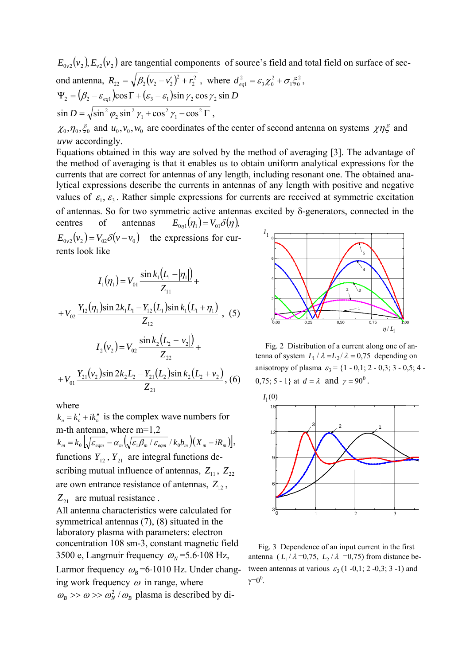$E_{0v2}(v_1), E_{v2}(v_2)$  are tangential components of source's field and total field on surface of sec-

ond antenna, 
$$
R_{22} = \sqrt{\beta_2 (v_2 - v_2')^2 + r_2^2}
$$
, where  $d_{eq1}^2 = \varepsilon_3 \chi_0^2 + \sigma_1 \xi_0^2$ ,  
\n $\Psi_2 = (\beta_2 - \varepsilon_{eq1}) \cos \Gamma + (\varepsilon_3 - \varepsilon_1) \sin \gamma_2 \cos \gamma_2 \sin D$   
\n $\sin D = \sqrt{\sin^2 \phi_2 \sin^2 \gamma_1 + \cos^2 \gamma_1 - \cos^2 \Gamma}$ ,

 $\chi_0$ ,  $\eta_0$ ,  $\xi_0$  and  $u_0$ ,  $v_0$ ,  $w_0$  are coordinates of the center of second antenna on systems  $\chi \eta \xi$  and *uvw* accordingly.

Equations obtained in this way are solved by the method of averaging [3]. The advantage of the method of averaging is that it enables us to obtain uniform analytical expressions for the currents that are correct for antennas of any length, including resonant one. The obtained analytical expressions describe the currents in antennas of any length with positive and negative values of  $\varepsilon_1$ ,  $\varepsilon_3$ . Rather simple expressions for currents are received at symmetric excitation of antennas. So for two symmetric active antennas excited by δ-generators, connected in the centres of antennas  $E_{0n1}(\eta_1) = V_{01}\delta(\eta)$ ,

 $E_{0,2}(v_2) = V_{0,2}\delta(v-v_0)$  the expressions for currents look like

$$
I_{1}(\eta_{1}) = V_{01} \frac{\sin k_{1}(L_{1} - |\eta_{1}|)}{Z_{11}} + V_{02} \frac{Y_{12}(\eta_{1})\sin 2k_{1}L_{1} - Y_{12}(L_{1})\sin k_{1}(L_{1} + \eta_{1})}{Z_{12}},
$$
(5)  

$$
I_{2}(v_{2}) = V_{02} \frac{\sin k_{2}(L_{2} - |v_{2}|)}{Z_{22}} + V_{01} \frac{Y_{21}(v_{2})\sin 2k_{2}L_{2} - Y_{21}(L_{2})\sin k_{2}(L_{2} + v_{2})}{Z_{21}},
$$
(6)

where

 $k_n = k'_n + ik''_n$  is the complex wave numbers for m-th antenna, where m=1,2

 $k_m = k_0 \left[ \sqrt{\varepsilon_{eqm}} - \alpha_m \left( \sqrt{\varepsilon_1 \beta_m / \varepsilon_{eqm}} / k_0 b_m \right) \left( X_m - i R_m \right) \right],$ functions  $Y_{12}$ ,  $Y_{21}$  are integral functions describing mutual influence of antennas,  $Z_{11}$ ,  $Z_{22}$ are own entrance resistance of antennas,  $Z_{12}$ ,  $Z_{21}$  are mutual resistance.

All antenna characteristics were calculated for symmetrical antennas (7), (8) situated in the laboratory plasma with parameters: electron concentration 108 sm-3, constant magnetic field 3500 e, Langmuir frequency  $\omega_N$ =5.6⋅108 Hz, Larmor frequency  $\omega_B$ =6⋅1010 Hz. Under changing work frequency  $\omega$  in range, where  $\omega_B \gg \omega \gg \omega_N^2 / \omega_B$  plasma is described by di-



 Fig. 2 Distribution of a current along one of antenna of system  $L_1/\lambda = L_2/\lambda = 0.75$  depending on anisotropy of plasma  $\varepsilon_3 = \{1 - 0, 1; 2 - 0, 3; 3 - 0, 5; 4 -$ 0,75; 5 - 1} at  $d = \lambda$  and  $\gamma = 90^0$ .



 Fig. 3 Dependence of an input current in the first antenna ( $L_1 / \lambda = 0.75$ ,  $L_2 / \lambda = 0.75$ ) from distance between antennas at various  $\varepsilon_3$  (1 -0,1; 2 -0,3; 3 -1) and  $γ=0^0$ .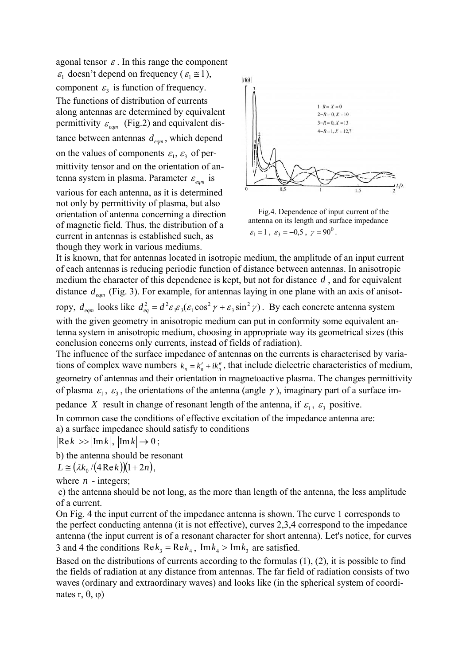agonal tensor  $\varepsilon$ . In this range the component  $\varepsilon_1$  doesn't depend on frequency ( $\varepsilon_1 \approx 1$ ), component  $\varepsilon_3$  is function of frequency. The functions of distribution of currents along antennas are determined by equivalent permittivity  $\varepsilon_{\text{eqm}}$  (Fig.2) and equivalent distance between antennas  $d_{eqm}$ , which depend on the values of components  $\varepsilon_1$ ,  $\varepsilon_3$  of permittivity tensor and on the orientation of antenna system in plasma. Parameter  $\varepsilon_{\text{em}}$  is various for each antenna, as it is determined not only by permittivity of plasma, but also orientation of antenna concerning a direction of magnetic field. Thus, the distribution of a

current in antennas is established such, as though they work in various mediums.



 Fig.4. Dependence of input current of the antenna on its length and surface impedance  $\varepsilon_1 = 1$ ,  $\varepsilon_3 = -0.5$ ,  $\gamma = 90^\circ$ .

It is known, that for antennas located in isotropic medium, the amplitude of an input current of each antennas is reducing periodic function of distance between antennas. In anisotropic medium the character of this dependence is kept, but not for distance  $d$ , and for equivalent distance  $d_{eqm}$  (Fig. 3). For example, for antennas laying in one plane with an axis of anisotropy,  $d_{eqm}$  looks like  $d_{eq}^2 = d^2 \varepsilon_1 \varepsilon_3 (\varepsilon_1 \cos^2 \gamma + \varepsilon_3 \sin^2 \gamma)$ . By each concrete antenna system with the given geometry in anisotropic medium can put in conformity some equivalent antenna system in anisotropic medium, choosing in appropriate way its geometrical sizes (this 2  $d_{eq}^2 = d^2 \varepsilon_1 \varepsilon_3 (\varepsilon_1 \cos^2 \gamma + \varepsilon_3 \sin^2 \gamma)$ 

conclusion concerns only currents, instead of fields of radiation).

The influence of the surface impedance of antennas on the currents is characterised by variations of complex wave numbers  $k_n = k'_n + ik''_n$ , that include dielectric characteristics of medium, geometry of antennas and their orientation in magnetoactive plasma. The changes permittivity of plasma  $\varepsilon_1$ ,  $\varepsilon_3$ , the orientations of the antenna (angle  $\gamma$ ), imaginary part of a surface im-

pedance *X* result in change of resonant length of the antenna, if  $\varepsilon_1$ ,  $\varepsilon_3$  positive.

In common case the conditions of effective excitation of the impedance antenna are:

а) a surface impedance should satisfy to conditions

 $|\text{Re }k| \gg |\text{Im }k|, |\text{Im }k| \to 0;$ 

b) the antenna should be resonant

 $L \cong (\lambda k_0 / (4 \operatorname{Re} k)) (1 + 2n),$ 

where  $n -$  integers:

 c) the antenna should be not long, as the more than length of the antenna, the less amplitude of a current.

On Fig. 4 the input current of the impedance antenna is shown. The curve 1 corresponds to the perfect conducting antenna (it is not effective), curves 2,3,4 correspond to the impedance antenna (the input current is of a resonant character for short antenna). Let's notice, for curves 3 and 4 the conditions  $\text{Re}k_3 = \text{Re}k_4$ ,  $\text{Im}k_4 > \text{Im}k_3$  are satisfied.

Based on the distributions of currents according to the formulas (1), (2), it is possible to find the fields of radiation at any distance from antennas. The far field of radiation consists of two waves (ordinary and extraordinary waves) and looks like (in the spherical system of coordinates r,  $θ$ ,  $φ$ )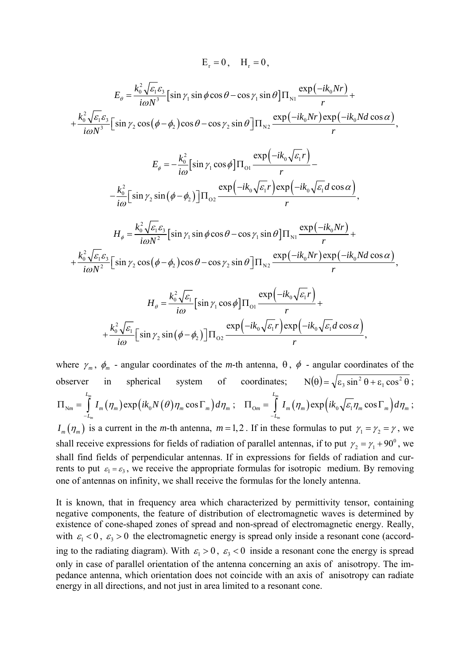$$
E_{r} = 0, \quad H_{r} = 0,
$$
\n
$$
E_{\theta} = \frac{k_{0}^{2} \sqrt{\varepsilon_{1}} \varepsilon_{3}}{i \omega N^{3}} [\sin \gamma_{1} \sin \phi \cos \theta - \cos \gamma_{1} \sin \theta] \Pi_{N_{1}} \frac{\exp(-ik_{0}Nr)}{r} +
$$
\n
$$
+ \frac{k_{0}^{2} \sqrt{\varepsilon_{1}} \varepsilon_{3}}{i \omega N^{3}} [\sin \gamma_{2} \cos (\phi - \phi_{2}) \cos \theta - \cos \gamma_{2} \sin \theta] \Pi_{N_{2}} \frac{\exp(-ik_{0}Nr)\exp(-ik_{0}Nd\cos \alpha)}{r},
$$
\n
$$
E_{\phi} = -\frac{k_{0}^{2}}{i \omega} [\sin \gamma_{1} \cos \phi] \Pi_{01} \frac{\exp(-ik_{0} \sqrt{\varepsilon_{1}}r)}{r} -
$$
\n
$$
- \frac{k_{0}^{2}}{i \omega} [\sin \gamma_{2} \sin (\phi - \phi_{2})] \Pi_{02} \frac{\exp(-ik_{0} \sqrt{\varepsilon_{1}}r)\exp(-ik_{0} \sqrt{\varepsilon_{1}}d\cos \alpha)}{r},
$$
\n
$$
H_{\phi} = \frac{k_{0}^{2} \sqrt{\varepsilon_{1}} \varepsilon_{3}}{i \omega N^{2}} [\sin \gamma_{1} \sin \phi \cos \theta - \cos \gamma_{1} \sin \theta] \Pi_{N_{1}} \frac{\exp(-ik_{0}Nr)}{r} +
$$
\n
$$
+ \frac{k_{0}^{2} \sqrt{\varepsilon_{1}} \varepsilon_{3}}{i \omega N^{2}} [\sin \gamma_{2} \cos (\phi - \phi_{2}) \cos \theta - \cos \gamma_{2} \sin \theta] \Pi_{N_{2}} \frac{\exp(-ik_{0}Nr)\exp(-ik_{0}Nd\cos \alpha)}{r},
$$
\n
$$
H_{\theta} = \frac{k_{0}^{2} \sqrt{\varepsilon_{1}}}{i \omega} [\sin \gamma_{1} \cos \phi] \Pi_{01} \frac{\exp(-ik_{0} \sqrt{\varepsilon_{1}}r)}{r} +
$$
\n
$$
+ \frac{k_{0}^{2} \sqrt{\varepsilon_{1}}}{i \omega} [\sin \gamma_{2} \sin (\phi - \phi_{2})] \Pi_{02} \frac{\exp(-ik_{0} \sqrt{\varepsilon_{1
$$

where  $\gamma_m$ ,  $\phi_m$  - angular coordinates of the *m*-th antenna,  $\theta$ ,  $\phi$  - angular coordinates of the observer in spherical system of coordinates;  $N(\theta) = \sqrt{\epsilon_3 \sin^2 \theta + \epsilon_1 \cos^2 \theta}$  $N(\theta) = \sqrt{\epsilon_3 \sin^2 \theta + \epsilon_1 \cos^2 \theta}$ ;  $\int d^{m}_{m}\left(\eta_{m}\right) \exp\left(ik_{0}N(\theta)\eta_{m}\cos\Gamma_{m}\right)$ *m L*  $m = \int I_m \left( I_m \right) \exp \left( i \kappa_0 I_v \left( \frac{U}{I_m} \right) I_m \right)$ *L*  $I_{Nm} = \int I_m(\eta_m) \exp\left(ik_0 N(\theta) \eta_m \cos \Gamma_m\right) d\eta_m$  $\Pi_{\text{Nm}} = \int_{-L_m}^{L_m} I_m(\eta_m) \exp\left(ik_0 N(\theta) \eta_m \cos \Gamma_m\right) d\eta_m; \quad \Pi_{\text{O}m} = \int_{-L_m}^{L_m} I_m(\eta_m) \exp\left(ik_0 \sqrt{\varepsilon_1} \eta_m \cos \Gamma_m\right)$ *m L*  $m = \int I_m \left( I_m \right) \exp \left( i \kappa_0 \sqrt{c_1} I_m \cos T_m \right) \omega I_m$ *L*  $I_{\text{on}} = \int I_m(\eta_m) \exp\left(ik_0 \sqrt{\varepsilon_1} \eta_m \cos \Gamma_m\right) d\eta$  $\Pi_{\text{O}m} = \int_{-L_m} I_m(\eta_m) \exp\left(ik_0 \sqrt{\varepsilon_1 \eta_m} \cos \Gamma_m\right) d\eta_m;$  $I_m(\eta_m)$  is a current in the *m*-th antenna,  $m=1,2$ . If in these formulas to put  $\gamma_1 = \gamma_2 = \gamma$ , we shall receive expressions for fields of radiation of parallel antennas, if to put  $\gamma_2 = \gamma_1 + 90^\circ$ , we shall find fields of perpendicular antennas. If in expressions for fields of radiation and cur-

rents to put  $\varepsilon_1 = \varepsilon_3$ , we receive the appropriate formulas for isotropic medium. By removing one of antennas on infinity, we shall receive the formulas for the lonely antenna.

It is known, that in frequency area which characterized by permittivity tensor, containing negative components, the feature of distribution of electromagnetic waves is determined by existence of cone-shaped zones of spread and non-spread of electromagnetic energy. Really, with  $\epsilon_1 < 0$ ,  $\epsilon_3 > 0$  the electromagnetic energy is spread only inside a resonant cone (according to the radiating diagram). With  $\varepsilon_1 > 0$ ,  $\varepsilon_3 < 0$  inside a resonant cone the energy is spread only in case of parallel orientation of the antenna concerning an axis of anisotropy. The impedance antenna, which orientation does not coincide with an axis of anisotropy can radiate energy in all directions, and not just in area limited to a resonant cone.